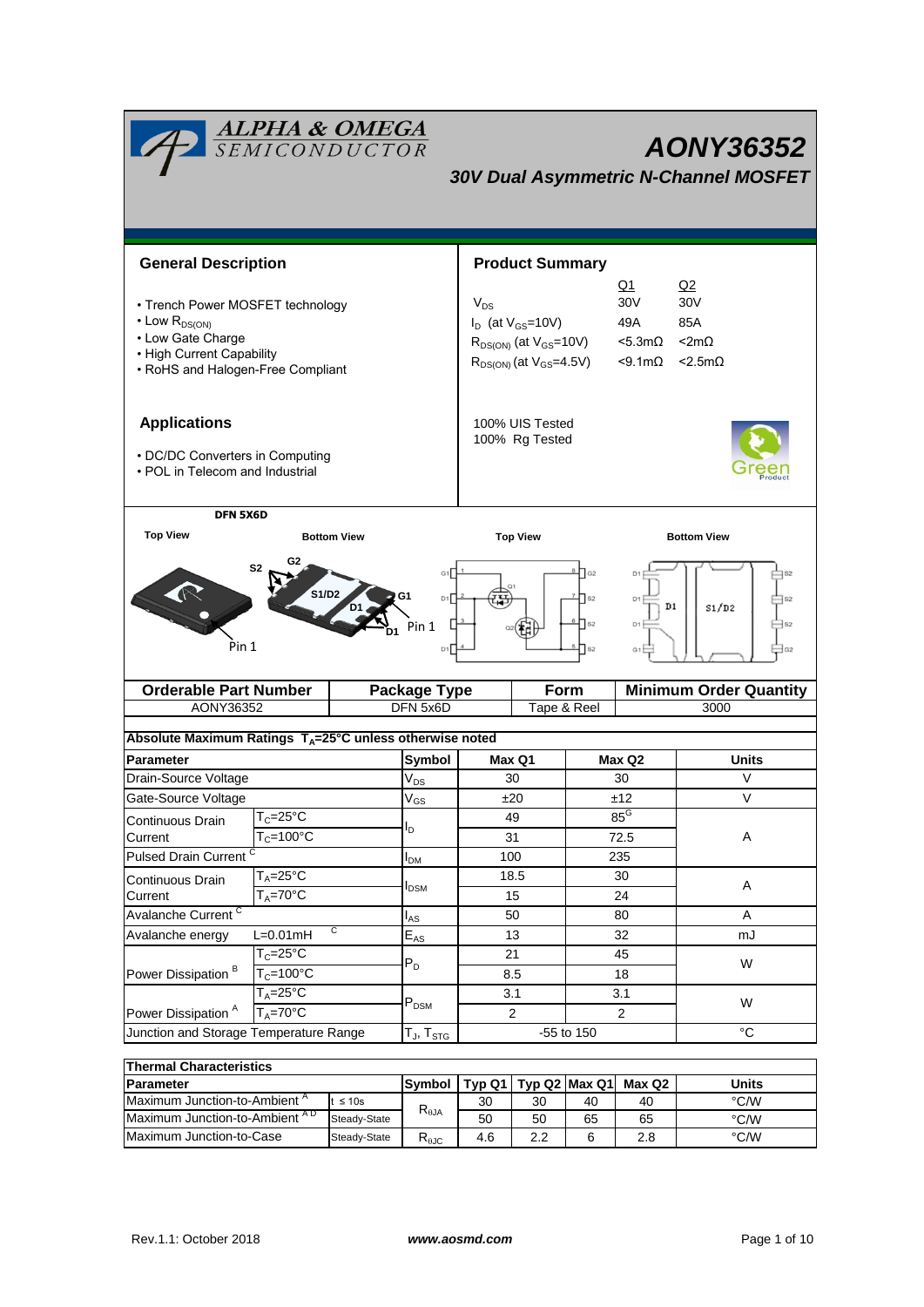| <b>ALPHA &amp; OMEGA</b><br>SEMICONDUCTOR<br>AONY36352<br><b>30V Dual Asymmetric N-Channel MOSFET</b> |                                       |          |                               |                                                                                         |                                   |                                                             |                     |                               |  |  |
|-------------------------------------------------------------------------------------------------------|---------------------------------------|----------|-------------------------------|-----------------------------------------------------------------------------------------|-----------------------------------|-------------------------------------------------------------|---------------------|-------------------------------|--|--|
|                                                                                                       |                                       |          |                               |                                                                                         |                                   |                                                             |                     |                               |  |  |
| <b>General Description</b>                                                                            |                                       |          |                               | <b>Product Summary</b>                                                                  |                                   |                                                             |                     |                               |  |  |
|                                                                                                       |                                       |          |                               | <u>Q1</u>                                                                               |                                   |                                                             |                     | Q2                            |  |  |
| • Trench Power MOSFET technology                                                                      |                                       |          |                               | 30V<br>$V_{DS}$                                                                         |                                   |                                                             |                     | 30 <sub>V</sub>               |  |  |
| $\cdot$ Low $R_{DS(ON)}$<br>• Low Gate Charge                                                         |                                       |          |                               | $I_D$ (at $V_{GS}$ =10V)<br>49A<br>$R_{DS(ON)}$ (at $V_{GS}$ =10V)<br>$<$ 5.3m $\Omega$ |                                   |                                                             | 85A<br>$< 2m\Omega$ |                               |  |  |
| • High Current Capability                                                                             |                                       |          |                               |                                                                                         |                                   |                                                             |                     |                               |  |  |
| • RoHS and Halogen-Free Compliant                                                                     |                                       |          |                               | $R_{DS(ON)}$ (at $V_{GS}$ =4.5V)<br>$<$ 9.1m $\Omega$<br>$<$ 2.5m $\Omega$              |                                   |                                                             |                     |                               |  |  |
| <b>Applications</b><br>• DC/DC Converters in Computing<br>• POL in Telecom and Industrial             |                                       |          |                               |                                                                                         | 100% UIS Tested<br>100% Rg Tested |                                                             |                     |                               |  |  |
| DFN 5X6D                                                                                              |                                       |          |                               |                                                                                         |                                   |                                                             |                     |                               |  |  |
| <b>Top View</b>                                                                                       | <b>Bottom View</b>                    |          | <b>Top View</b>               |                                                                                         |                                   |                                                             | <b>Bottom View</b>  |                               |  |  |
| G <sub>2</sub><br>S2<br><b>S1/D2</b><br>G1<br>Pin 1                                                   |                                       |          | D1<br>Pin 1<br>D <sub>1</sub> |                                                                                         |                                   | $\sqrt{G2}$<br>$\sqrt{ }$ S <sub>2</sub><br>$\mathsf{ls}_2$ | D <sub>1</sub>      | D1<br>S1/D2                   |  |  |
| <b>Orderable Part Number</b>                                                                          |                                       |          | <b>Package Type</b>           |                                                                                         | <b>Form</b>                       |                                                             |                     | <b>Minimum Order Quantity</b> |  |  |
| AONY36352<br>DFN 5x6D                                                                                 |                                       |          |                               |                                                                                         | Tape & Reel                       |                                                             |                     | 3000                          |  |  |
| Absolute Maximum Ratings T <sub>A</sub> =25°C unless otherwise noted                                  |                                       |          |                               |                                                                                         |                                   |                                                             |                     |                               |  |  |
| <b>Parameter</b>                                                                                      |                                       |          | Symbol                        | Max Q1                                                                                  |                                   |                                                             | Max Q2              | Units                         |  |  |
| Drain-Source Voltage                                                                                  |                                       |          | $V_{DS}$                      | 30                                                                                      |                                   |                                                             | 30                  | V                             |  |  |
| Gate-Source Voltage                                                                                   |                                       | $V_{GS}$ | ±20                           |                                                                                         | ±12                               |                                                             | V                   |                               |  |  |
| Continuous Drain                                                                                      | $T_c = 25$ °C                         |          | ı,                            | 49                                                                                      |                                   | $85^{\circ}$                                                |                     |                               |  |  |
| Current                                                                                               | $T_c = 100^{\circ}$ C                 |          |                               | 31                                                                                      |                                   | 72.5                                                        |                     | Α                             |  |  |
|                                                                                                       | <b>Pulsed Drain Current</b>           |          | <b>I</b> <sub>DM</sub>        | 100                                                                                     |                                   |                                                             | 235                 |                               |  |  |
| Continuous Drain                                                                                      | $T_A = 25$ °C                         |          | <b>I</b> <sub>DSM</sub>       | 18.5<br>15                                                                              |                                   | 30                                                          |                     | A                             |  |  |
| $T_A = 70^\circ C$<br>Current<br>Avalanche Current <sup>C</sup>                                       |                                       |          | 50                            |                                                                                         | 24                                |                                                             | Α                   |                               |  |  |
| C<br>$L=0.01mH$<br>Avalanche energy                                                                   |                                       | $I_{AS}$ |                               |                                                                                         | 80<br>32                          |                                                             | mJ                  |                               |  |  |
|                                                                                                       | $T_c = 25$ °C<br>$T_c = 100^{\circ}C$ |          | $E_{AS}$<br>$P_D$             |                                                                                         | 13<br>21                          |                                                             | 45                  |                               |  |  |
| Power Dissipation <sup>B</sup>                                                                        |                                       |          |                               | 8.5                                                                                     |                                   |                                                             | 18                  | W                             |  |  |
|                                                                                                       | $T_A = 25$ °C                         |          | $P_{DSM}$                     | 3.1                                                                                     |                                   |                                                             | 3.1                 |                               |  |  |
| Power Dissipation <sup>A</sup>                                                                        | $T_A = 70^\circ C$                    |          |                               | $\overline{2}$                                                                          |                                   |                                                             | $\overline{c}$      | W                             |  |  |
| Junction and Storage Temperature Range                                                                |                                       |          | T $_{\sf J}$ , T $_{\sf STG}$ |                                                                                         |                                   | -55 to 150                                                  |                     | $^{\circ}C$                   |  |  |
| <b>Thermal Characteristics</b>                                                                        |                                       |          |                               |                                                                                         |                                   |                                                             |                     |                               |  |  |

| בטוופו ווומו טוומו מטנפו ושנוט           |               |                        |               |     |        |       |      |  |
|------------------------------------------|---------------|------------------------|---------------|-----|--------|-------|------|--|
| <b>IParameter</b>                        | <b>Symbol</b> | Tvp Q1                 | Tvp Q2 Max Q1 |     | Max Q2 | Units |      |  |
| Maximum Junction-to-Ambient <sup>"</sup> | $\leq 10s$    | $R_{\theta$ JA         | 30            | 30  | 40     | 40    | °C/W |  |
| Maximum Junction-to-Ambient AD           | Steady-State  |                        | 50            | 50  | 65     | 65    | °C/W |  |
| Maximum Junction-to-Case                 | Steady-State  | D<br>Ւ <sub>θ</sub> კე | 4.6           | 2.2 | 6      | 2.8   | °C/W |  |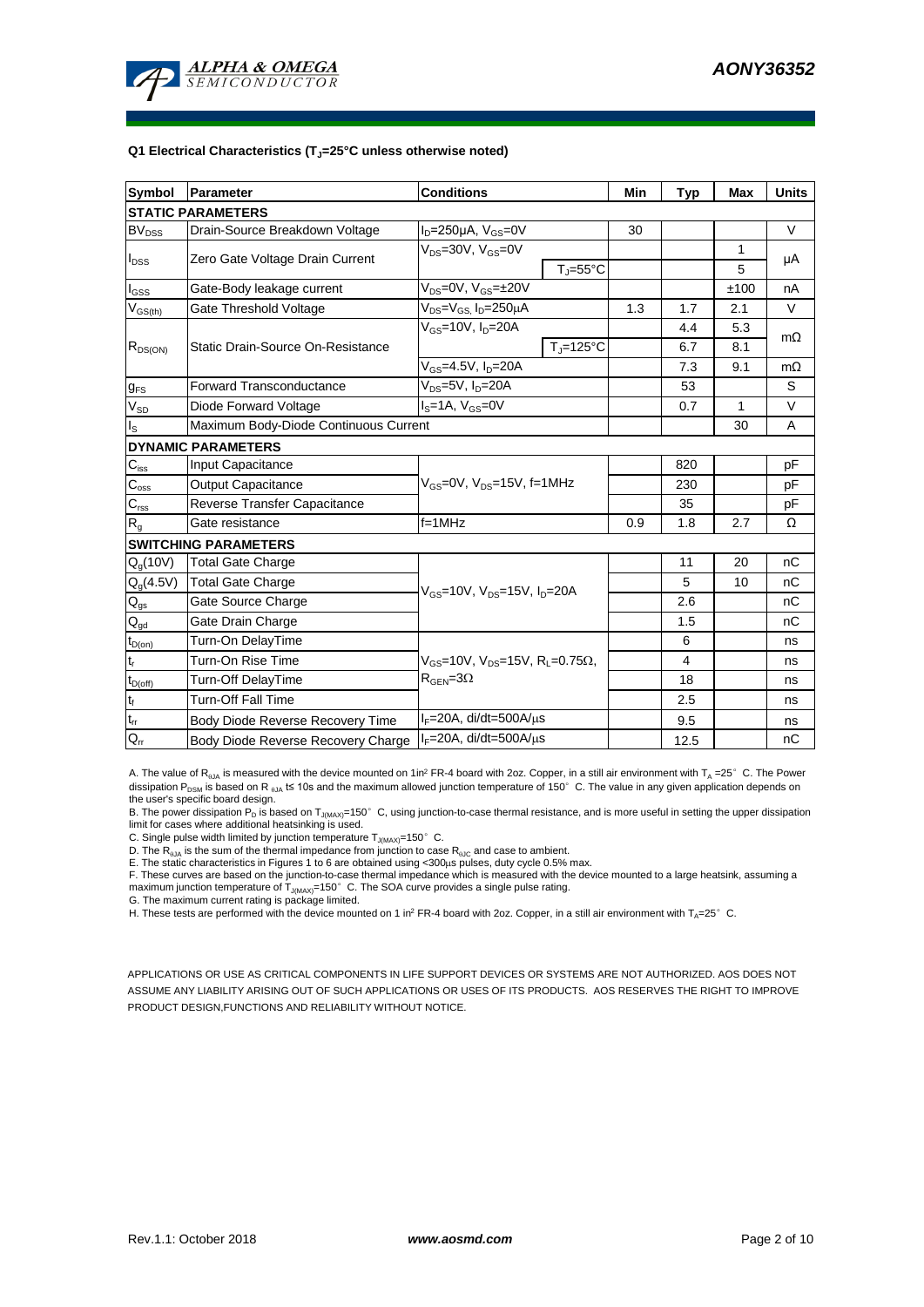

#### **Q1 Electrical Characteristics (TJ=25°C unless otherwise noted)**

| <b>Symbol</b>              | Parameter                             | <b>Conditions</b>                                                                           | Min                        | <b>Typ</b> | <b>Max</b> | <b>Units</b> |           |  |
|----------------------------|---------------------------------------|---------------------------------------------------------------------------------------------|----------------------------|------------|------------|--------------|-----------|--|
| <b>STATIC PARAMETERS</b>   |                                       |                                                                                             |                            |            |            |              |           |  |
| <b>BV<sub>DSS</sub></b>    | Drain-Source Breakdown Voltage        | $I_D = 250 \mu A$ , $V_{GS} = 0V$                                                           |                            | 30         |            |              | V         |  |
|                            | Zero Gate Voltage Drain Current       | $V_{DS}$ =30V, $V_{GS}$ =0V                                                                 |                            |            | 1          | μA           |           |  |
| $I_{DSS}$                  |                                       |                                                                                             | $T_{\rm J} = 55^{\circ}$ C |            |            | 5            |           |  |
| $I_{GSS}$                  | Gate-Body leakage current             | $V_{DS} = 0V$ , $V_{GS} = \pm 20V$                                                          |                            |            |            | ±100         | nA        |  |
| $V_{GS(th)}$               | Gate Threshold Voltage                | $V_{DS} = V_{GS}$ , $I_D = 250 \mu A$                                                       |                            | 1.3        | 1.7        | 2.1          | V         |  |
|                            |                                       | $V_{GS}$ =10V, $I_D$ =20A                                                                   |                            |            | 4.4        | 5.3          | $m\Omega$ |  |
| $R_{DS(ON)}$               | Static Drain-Source On-Resistance     |                                                                                             | $T_J = 125$ °C             |            | 6.7        | 8.1          |           |  |
|                            |                                       | $V_{GS} = 4.5V, I_D = 20A$                                                                  |                            |            | 7.3        | 9.1          | $m\Omega$ |  |
| $g_{FS}$                   | <b>Forward Transconductance</b>       | $V_{DS}$ =5V, $I_D$ =20A                                                                    |                            |            | 53         |              | S         |  |
| $V_{SD}$                   | Diode Forward Voltage                 | $IS=1A, VGS=0V$                                                                             |                            |            | 0.7        | 1            | V         |  |
| ll <sub>s</sub>            | Maximum Body-Diode Continuous Current |                                                                                             |                            |            | 30         | A            |           |  |
| <b>DYNAMIC PARAMETERS</b>  |                                       |                                                                                             |                            |            |            |              |           |  |
| $\mathbf{C}_{\text{iss}}$  | Input Capacitance                     |                                                                                             |                            |            | 820        |              | рF        |  |
| $C_{\rm oss}$              | <b>Output Capacitance</b>             | $V_{GS}$ =0V, $V_{DS}$ =15V, f=1MHz                                                         |                            | 230        |            | рF           |           |  |
| $C_{\text{rss}}$           | Reverse Transfer Capacitance          |                                                                                             |                            | 35         |            | pF           |           |  |
| $\mathsf{R}_{\mathsf{g}}$  | Gate resistance                       | $f=1MHz$                                                                                    | 0.9                        | 1.8        | 2.7        | Ω            |           |  |
|                            | <b>SWITCHING PARAMETERS</b>           |                                                                                             |                            |            |            |              |           |  |
| $Q_g(10V)$                 | <b>Total Gate Charge</b>              | $V_{GS}$ =10V, $V_{DS}$ =15V, $I_{D}$ =20A                                                  |                            |            | 11         | 20           | nC        |  |
| $Q_g(4.5V)$                | <b>Total Gate Charge</b>              |                                                                                             |                            |            | 5          | 10           | nC        |  |
| $Q_{gs}$                   | Gate Source Charge                    |                                                                                             |                            |            | 2.6        |              | nC        |  |
| $Q_{gd}$                   | Gate Drain Charge                     |                                                                                             |                            |            | 1.5        |              | nC        |  |
| $t_{D(on)}$                | Turn-On DelayTime                     |                                                                                             |                            |            | 6          |              | ns        |  |
| $t_r$                      | Turn-On Rise Time                     | $V_{GS}$ =10V, $V_{DS}$ =15V, R <sub>L</sub> =0.75 $\Omega$ ,<br>$R_{\text{GEN}} = 3\Omega$ |                            |            | 4          |              | ns        |  |
| $t_{D(off)}$               | Turn-Off DelayTime                    |                                                                                             |                            |            | 18         |              | ns        |  |
| $t_f$                      | <b>Turn-Off Fall Time</b>             |                                                                                             |                            |            | 2.5        |              | ns        |  |
| $\mathfrak{t}_{\text{rr}}$ | Body Diode Reverse Recovery Time      | $I_F = 20A$ , di/dt=500A/ $\mu$ s                                                           |                            |            | 9.5        |              | ns        |  |
| $Q_{rr}$                   | Body Diode Reverse Recovery Charge    | $I_F = 20A$ , di/dt=500A/ $\mu$ s                                                           |                            |            | 12.5       |              | nC        |  |

A. The value of R<sub>0JA</sub> is measured with the device mounted on 1in<sup>2</sup> FR-4 board with 2oz. Copper, in a still air environment with T<sub>A</sub> =25° C. The Power dissipation P<sub>DSM</sub> is based on R <sub>0JA</sub> t≤ 10s and the maximum allowed junction temperature of 150°C. The value in any given application depends on the user's specific board design.

B. The power dissipation P<sub>D</sub> is based on T<sub>J(MAX)</sub>=150°C, using junction-to-case thermal resistance, and is more useful in setting the upper dissipation<br>limit for cases where additional heatsinking is used.

C. Single pulse width limited by junction temperature  $T_{J(MAX)}$ =150°C.

D. The  $R_{qJA}$  is the sum of the thermal impedance from junction to case  $R_{qJC}$  and case to ambient.

E. The static characteristics in Figures 1 to 6 are obtained using <300us pulses, duty cycle 0.5% max.

F. These curves are based on the junction-to-case thermal impedance which is measured with the device mounted to a large heatsink, assuming a maximum junction temperature of  $T_{J(MAX)}$ =150°C. The SOA curve provides a single pulse rating.

G. The maximum current rating is package limited.

H. These tests are performed with the device mounted on 1 in<sup>2</sup> FR-4 board with 2oz. Copper, in a still air environment with T<sub>A</sub>=25°C.

APPLICATIONS OR USE AS CRITICAL COMPONENTS IN LIFE SUPPORT DEVICES OR SYSTEMS ARE NOT AUTHORIZED. AOS DOES NOT ASSUME ANY LIABILITY ARISING OUT OF SUCH APPLICATIONS OR USES OF ITS PRODUCTS. AOS RESERVES THE RIGHT TO IMPROVE PRODUCT DESIGN,FUNCTIONS AND RELIABILITY WITHOUT NOTICE.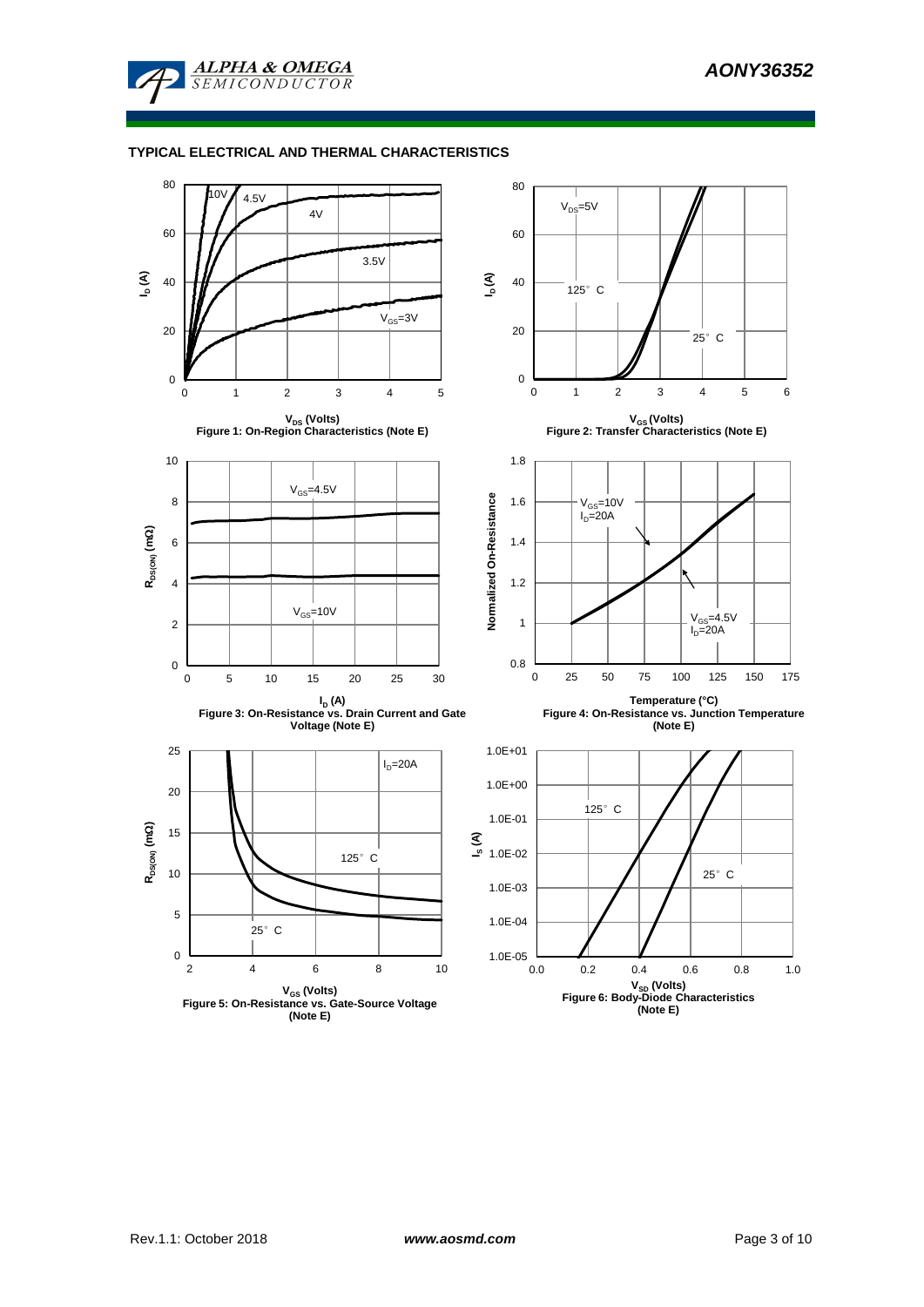

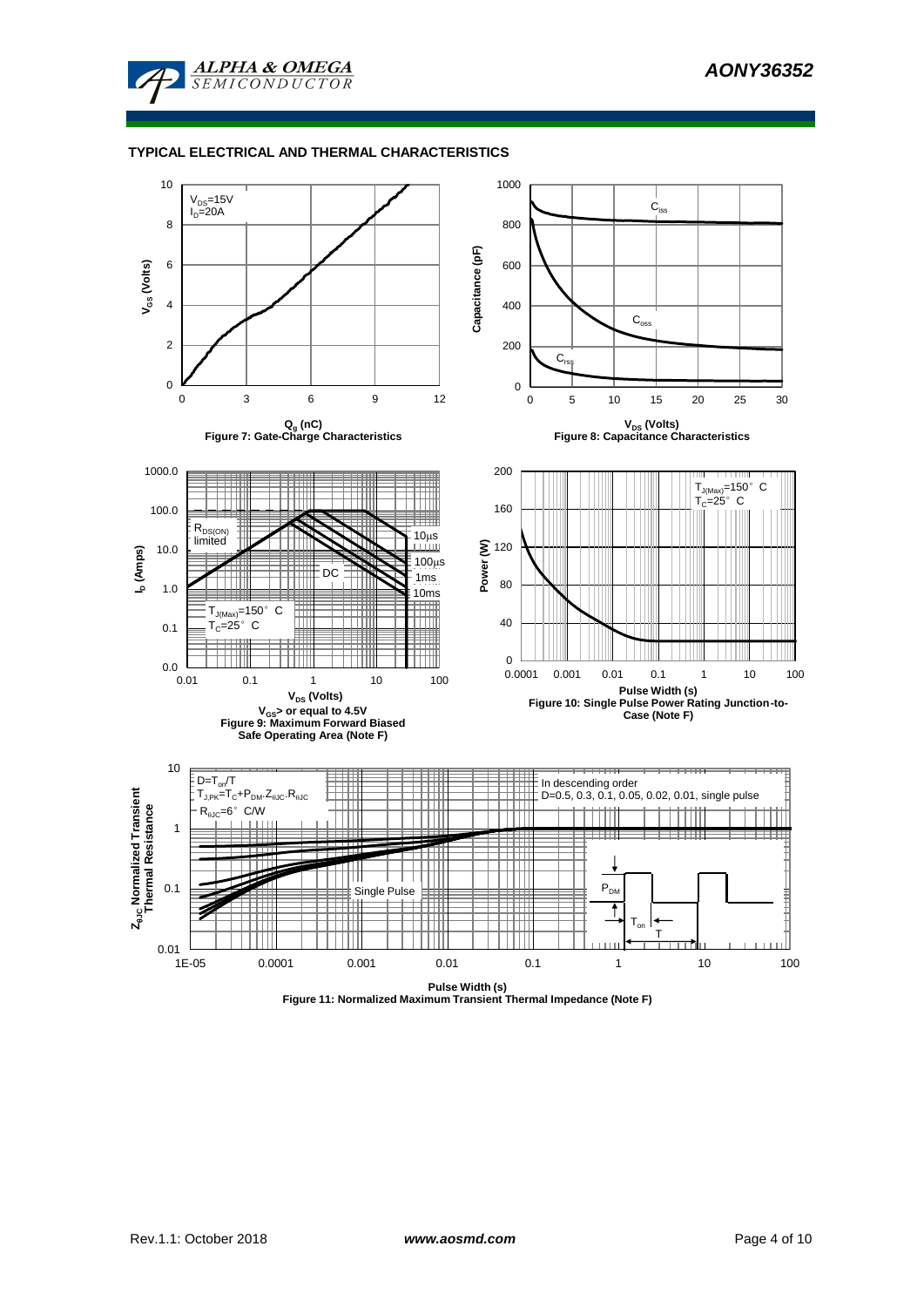



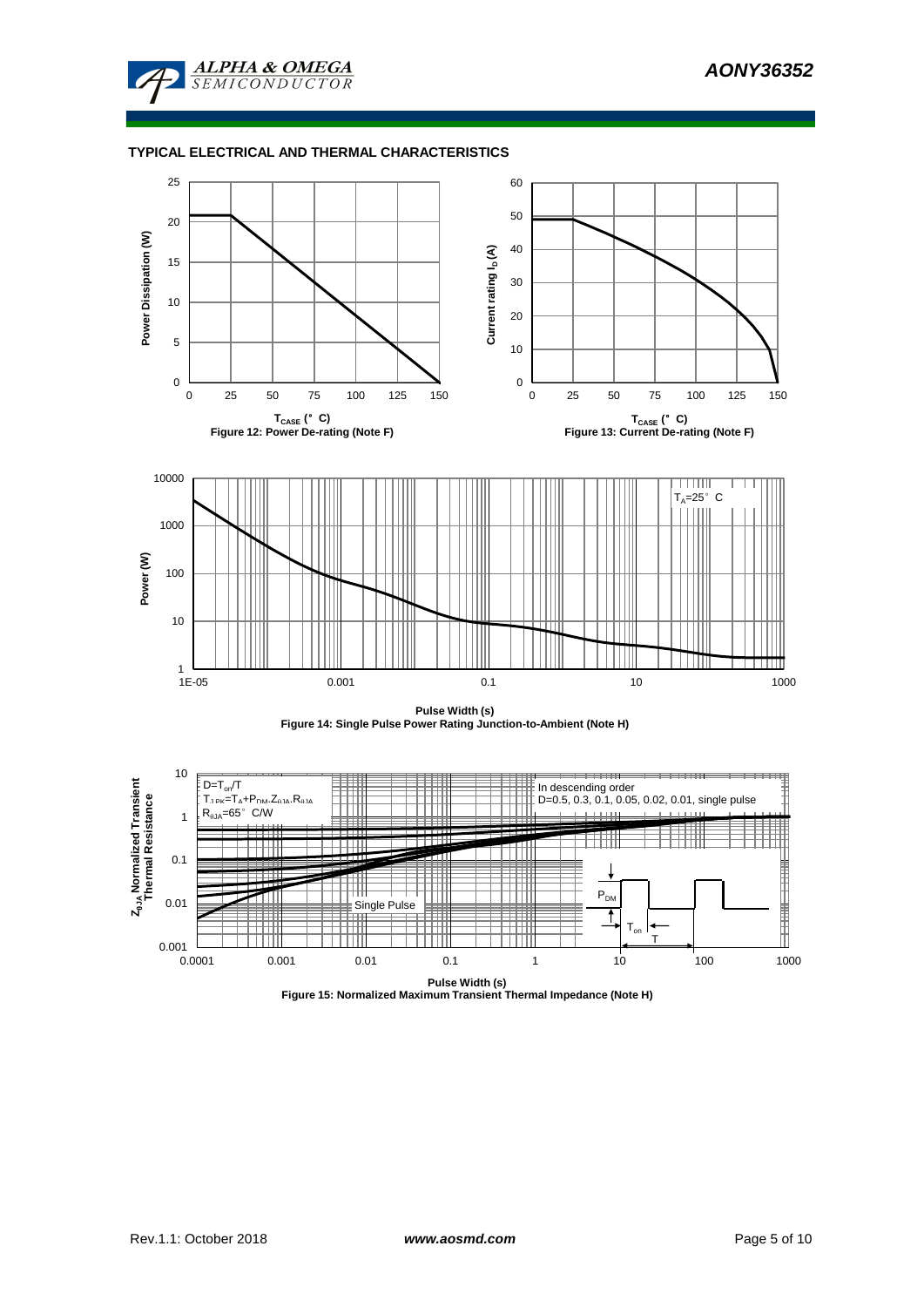







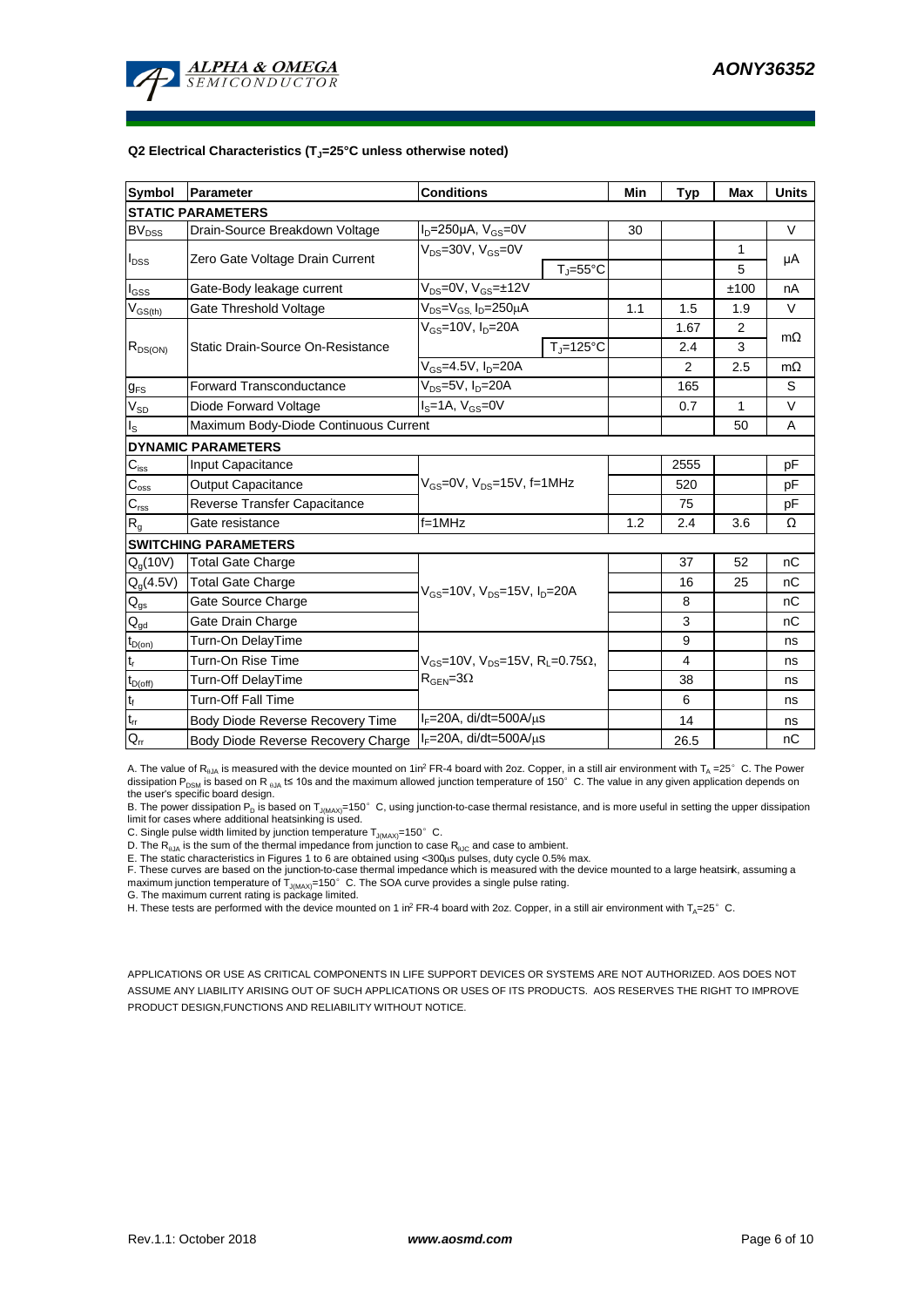

#### **Q2 Electrical Characteristics (TJ=25°C unless otherwise noted)**

| <b>Symbol</b>              | Parameter                             | <b>Conditions</b>                                                                           | Min                        | <b>Typ</b> | <b>Max</b>     | <b>Units</b> |           |  |  |
|----------------------------|---------------------------------------|---------------------------------------------------------------------------------------------|----------------------------|------------|----------------|--------------|-----------|--|--|
| <b>STATIC PARAMETERS</b>   |                                       |                                                                                             |                            |            |                |              |           |  |  |
| <b>BV<sub>DSS</sub></b>    | Drain-Source Breakdown Voltage        | $I_D = 250 \mu A$ , $V_{GS} = 0V$                                                           |                            | 30         |                |              | V         |  |  |
|                            | Zero Gate Voltage Drain Current       | $V_{DS}$ =30V, $V_{GS}$ =0V                                                                 |                            |            |                | 1            |           |  |  |
| $I_{DSS}$                  |                                       |                                                                                             | $T_{\rm J} = 55^{\circ}$ C |            |                | 5            | μA        |  |  |
| $I_{GSS}$                  | Gate-Body leakage current             | $V_{DS} = 0V$ , $V_{GS} = \pm 12V$                                                          |                            |            |                | ±100         | nA        |  |  |
| $\rm V_{GS(th)}$           | Gate Threshold Voltage                | V <sub>DS</sub> =V <sub>GS.</sub> I <sub>D</sub> =250µA                                     |                            | 1.1        | 1.5            | 1.9          | V         |  |  |
|                            |                                       | $V_{GS}$ =10V, $I_D$ =20A                                                                   |                            |            | 1.67           | 2            | $m\Omega$ |  |  |
| $R_{DS(ON)}$               | Static Drain-Source On-Resistance     |                                                                                             | $T_J = 125$ °C             |            | 2.4            | 3            |           |  |  |
|                            |                                       | $V_{GS} = 4.5V, I_D = 20A$                                                                  |                            |            | $\overline{2}$ | 2.5          | $m\Omega$ |  |  |
| $g_{FS}$                   | <b>Forward Transconductance</b>       | $V_{DS}$ =5V, $I_D$ =20A                                                                    |                            |            | 165            |              | S         |  |  |
| $V_{SD}$                   | Diode Forward Voltage                 | $IS=1A, VGS=0V$                                                                             |                            |            | 0.7            | $\mathbf{1}$ | V         |  |  |
| $\mathsf{I}_\mathsf{S}$    | Maximum Body-Diode Continuous Current |                                                                                             |                            |            | 50             | A            |           |  |  |
|                            | <b>DYNAMIC PARAMETERS</b>             |                                                                                             |                            |            |                |              |           |  |  |
| $\mathbf{C}_{\text{iss}}$  | Input Capacitance                     |                                                                                             |                            |            | 2555           |              | рF        |  |  |
| $C_{\rm oss}$              | <b>Output Capacitance</b>             | $V_{GS}$ =0V, $V_{DS}$ =15V, f=1MHz                                                         |                            | 520        |                | рF           |           |  |  |
| $C_{\text{rss}}$           | Reverse Transfer Capacitance          |                                                                                             |                            | 75         |                | pF           |           |  |  |
| $\mathsf{R}_{\mathsf{g}}$  | Gate resistance                       | $f = 1$ MHz                                                                                 | 1.2                        | 2.4        | 3.6            | Ω            |           |  |  |
|                            | <b>SWITCHING PARAMETERS</b>           |                                                                                             |                            |            |                |              |           |  |  |
| $Q_q(10V)$                 | <b>Total Gate Charge</b>              |                                                                                             |                            |            | 37             | 52           | пC        |  |  |
| $Q_g(4.5V)$                | <b>Total Gate Charge</b>              | $V_{GS}$ =10V, $V_{DS}$ =15V, $I_D$ =20A                                                    |                            | 16         | 25             | nC           |           |  |  |
| $Q_{gs}$                   | Gate Source Charge                    |                                                                                             |                            | 8          |                | nC           |           |  |  |
| $\mathsf{Q}_{\text{gd}}$   | Gate Drain Charge                     |                                                                                             |                            |            | 3              |              | nC        |  |  |
| $t_{D(on)}$                | Turn-On DelayTime                     |                                                                                             |                            |            | 9              |              | ns        |  |  |
| $t_r$                      | Turn-On Rise Time                     | $V_{GS}$ =10V, $V_{DS}$ =15V, R <sub>L</sub> =0.75 $\Omega$ ,<br>$R_{\text{GEN}} = 3\Omega$ |                            |            | 4              |              | ns        |  |  |
| $t_{D(off)}$               | Turn-Off DelayTime                    |                                                                                             |                            |            | 38             |              | ns        |  |  |
| $t_f$                      | <b>Turn-Off Fall Time</b>             |                                                                                             |                            | 6          |                | ns           |           |  |  |
| $\mathsf{t}_{\mathsf{rr}}$ | Body Diode Reverse Recovery Time      | $I_F = 20A$ , di/dt=500A/ $\mu$ s                                                           |                            |            | 14             |              | ns        |  |  |
| $\mathsf{Q}_\mathsf{rr}$   | Body Diode Reverse Recovery Charge    | $I_F = 20A$ , di/dt=500A/ $\mu$ s                                                           |                            |            | 26.5           |              | nС        |  |  |

A. The value of R<sub>BJA</sub> is measured with the device mounted on 1in<sup>2</sup> FR-4 board with 2oz. Copper, in a still air environment with T<sub>A</sub> =25°C. The Power dissipation P<sub>DSM</sub> is based on R <sub>0JA</sub> t≤ 10s and the maximum allowed junction temperature of 150°C. The value in any given application depends on the user's specific board design.

B. The power dissipation P<sub>D</sub> is based on T<sub>J(MAX)</sub>=150°C, using junction-to-case thermal resistance, and is more useful in setting the upper dissipation<br>limit for cases where additional heatsinking is used.

C. Single pulse width limited by junction temperature  $T_{J(MAX)}$ =150°C.

D. The  $R_{a_1a}$  is the sum of the thermal impedance from junction to case  $R_{a_1c}$  and case to ambient.

E. The static characteristics in Figures 1 to 6 are obtained using <300us pulses, duty cycle 0.5% max.

F. These curves are based on the junction-to-case thermal impedance which is measured with the device mounted to a large heatsink, assuming a maximum junction temperature of  $T_{J(MAX)}$ =150°C. The SOA curve provides a single pulse rating.

G. The maximum current rating is package limited.

H. These tests are performed with the device mounted on 1 in<sup>2</sup> FR-4 board with 2oz. Copper, in a still air environment with T<sub>A</sub>=25°C.

APPLICATIONS OR USE AS CRITICAL COMPONENTS IN LIFE SUPPORT DEVICES OR SYSTEMS ARE NOT AUTHORIZED. AOS DOES NOT ASSUME ANY LIABILITY ARISING OUT OF SUCH APPLICATIONS OR USES OF ITS PRODUCTS. AOS RESERVES THE RIGHT TO IMPROVE PRODUCT DESIGN,FUNCTIONS AND RELIABILITY WITHOUT NOTICE.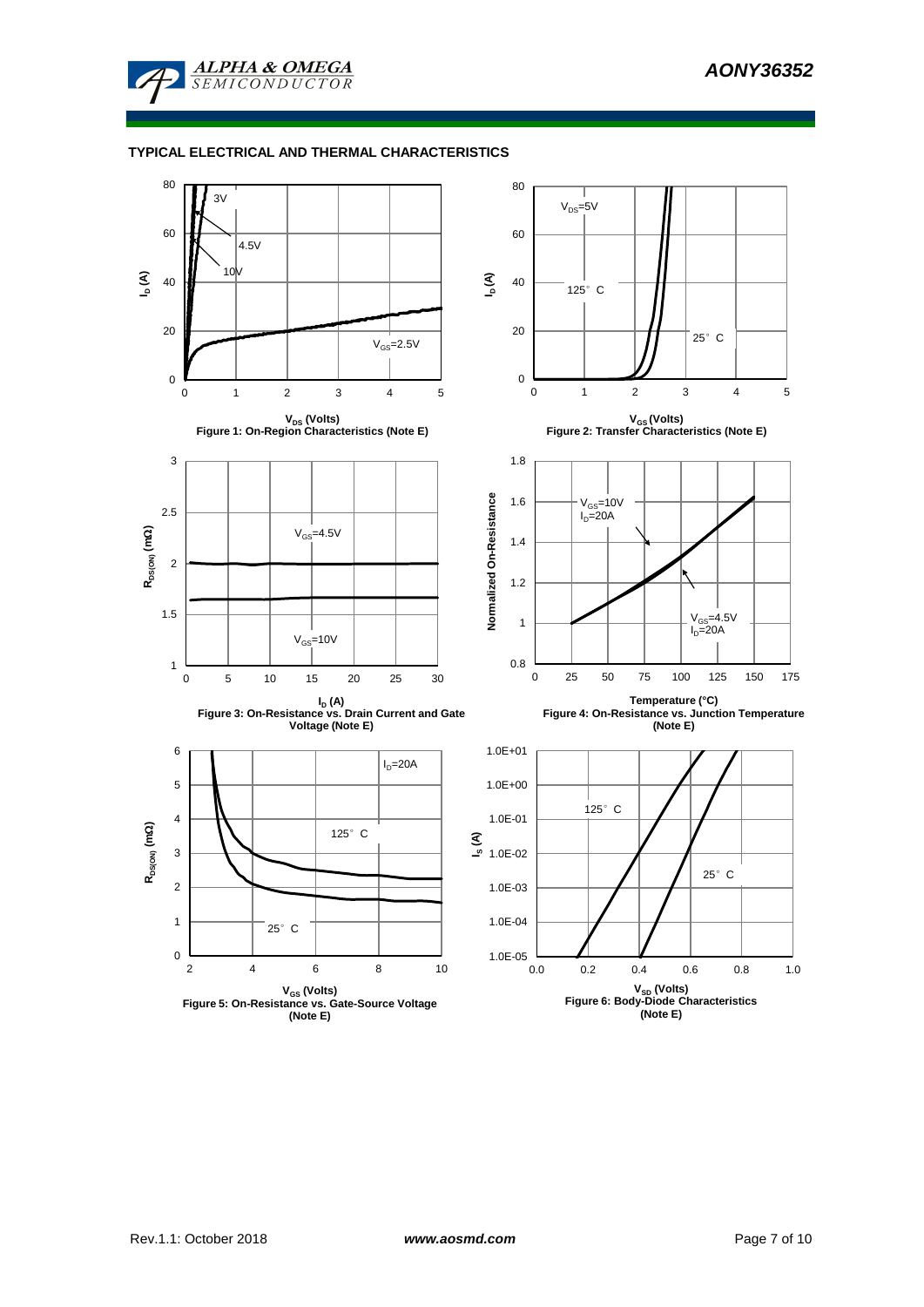

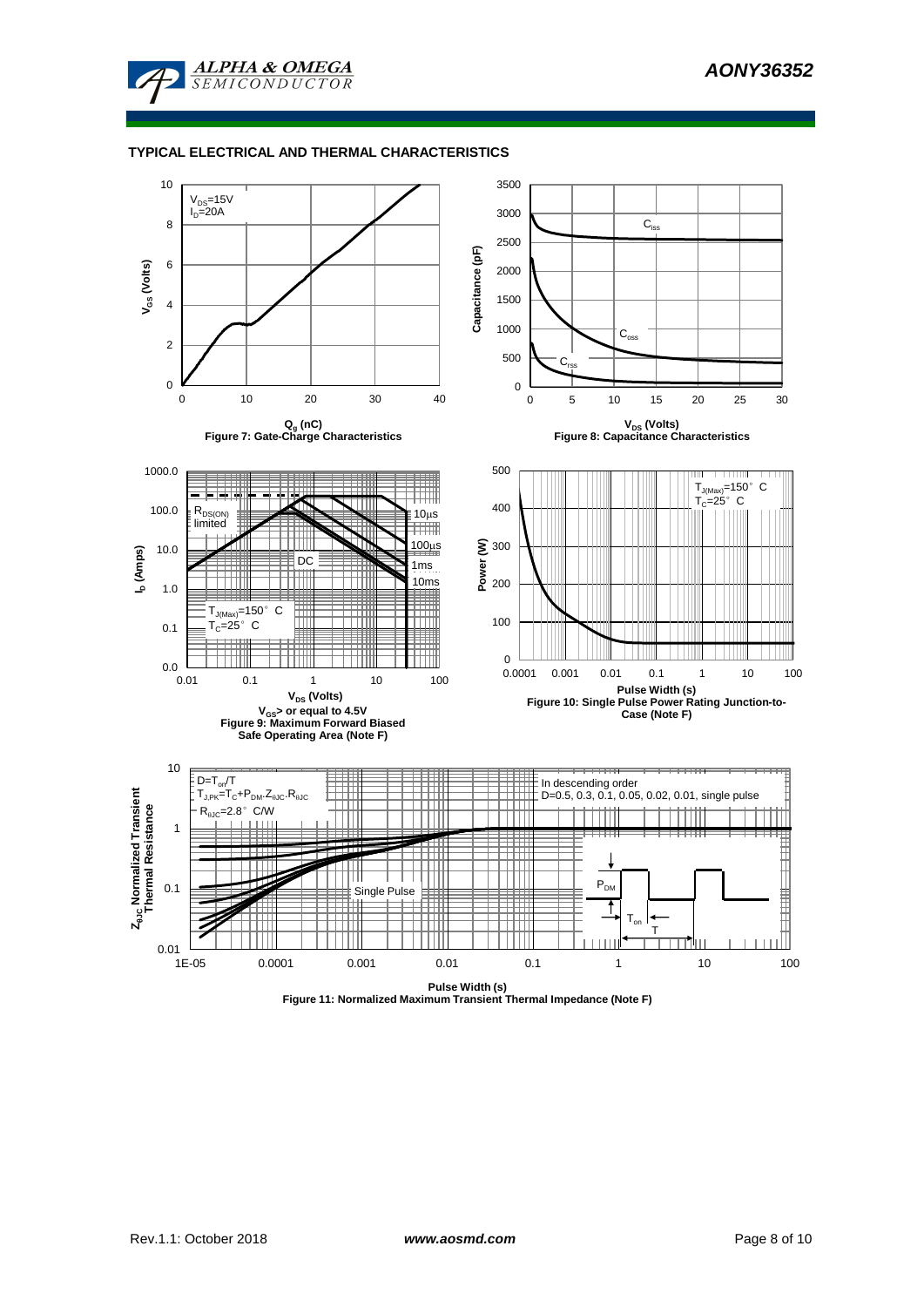



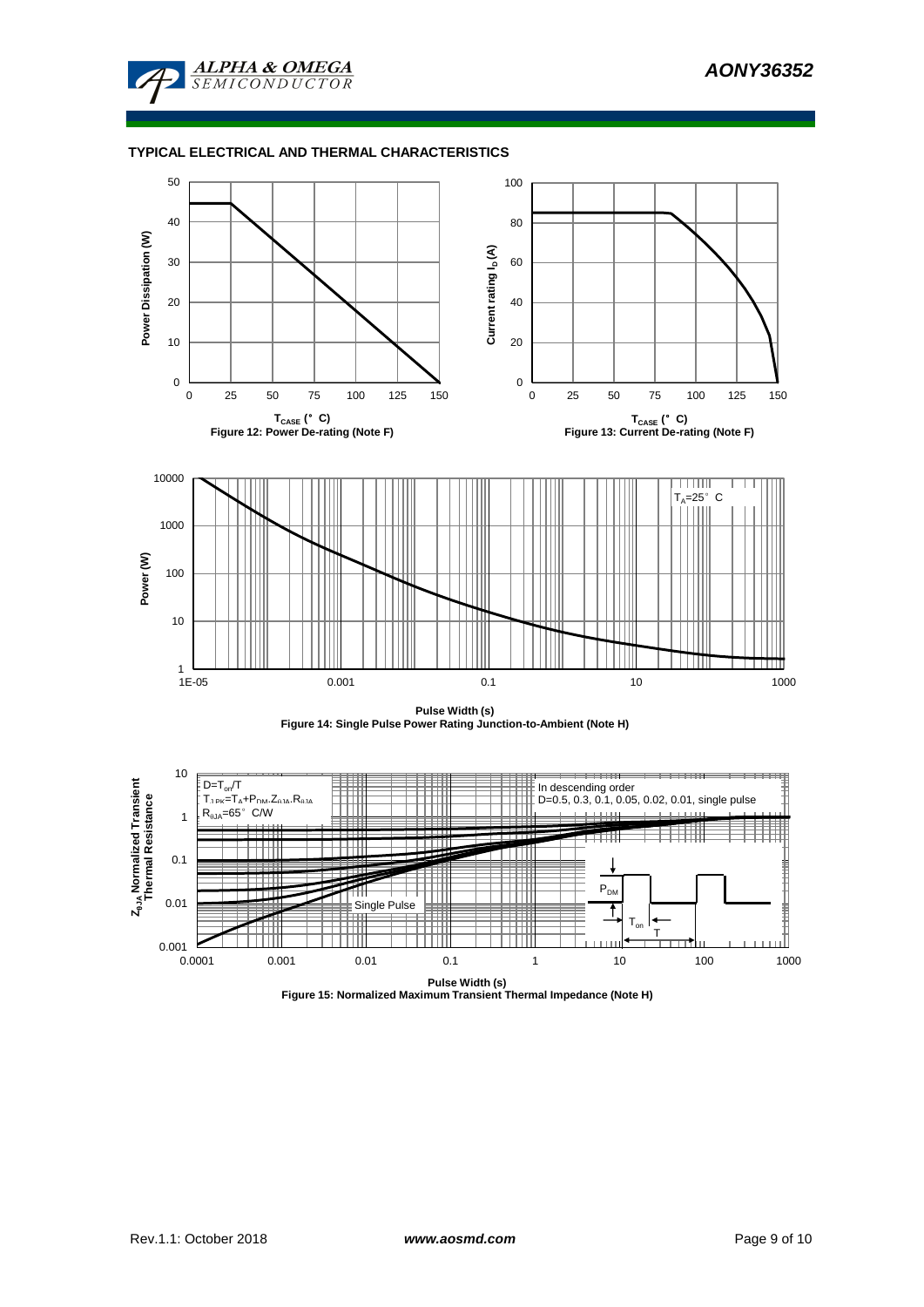